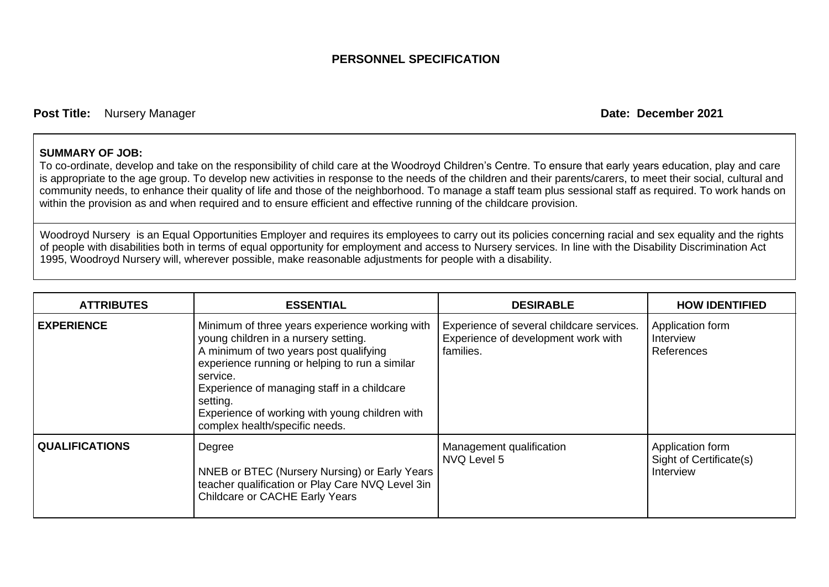## **PERSONNEL SPECIFICATION**

**Post Title:** Nursery Manager **Date:** December 2021

## **SUMMARY OF JOB:**

To co-ordinate, develop and take on the responsibility of child care at the Woodroyd Children's Centre. To ensure that early years education, play and care is appropriate to the age group. To develop new activities in response to the needs of the children and their parents/carers, to meet their social, cultural and community needs, to enhance their quality of life and those of the neighborhood. To manage a staff team plus sessional staff as required. To work hands on within the provision as and when required and to ensure efficient and effective running of the childcare provision.

Woodroyd Nursery is an Equal Opportunities Employer and requires its employees to carry out its policies concerning racial and sex equality and the rights of people with disabilities both in terms of equal opportunity for employment and access to Nursery services. In line with the Disability Discrimination Act 1995, Woodroyd Nursery will, wherever possible, make reasonable adjustments for people with a disability.

| <b>ATTRIBUTES</b>     | <b>ESSENTIAL</b>                                                                                                                                                                                                                                                                                                                              | <b>DESIRABLE</b>                                                                              | <b>HOW IDENTIFIED</b>                                    |
|-----------------------|-----------------------------------------------------------------------------------------------------------------------------------------------------------------------------------------------------------------------------------------------------------------------------------------------------------------------------------------------|-----------------------------------------------------------------------------------------------|----------------------------------------------------------|
| <b>EXPERIENCE</b>     | Minimum of three years experience working with<br>young children in a nursery setting.<br>A minimum of two years post qualifying<br>experience running or helping to run a similar<br>service.<br>Experience of managing staff in a childcare<br>setting.<br>Experience of working with young children with<br>complex health/specific needs. | Experience of several childcare services.<br>Experience of development work with<br>families. | Application form<br>Interview<br>References              |
| <b>QUALIFICATIONS</b> | Degree<br>NNEB or BTEC (Nursery Nursing) or Early Years<br>teacher qualification or Play Care NVQ Level 3in<br><b>Childcare or CACHE Early Years</b>                                                                                                                                                                                          | Management qualification<br>NVQ Level 5                                                       | Application form<br>Sight of Certificate(s)<br>Interview |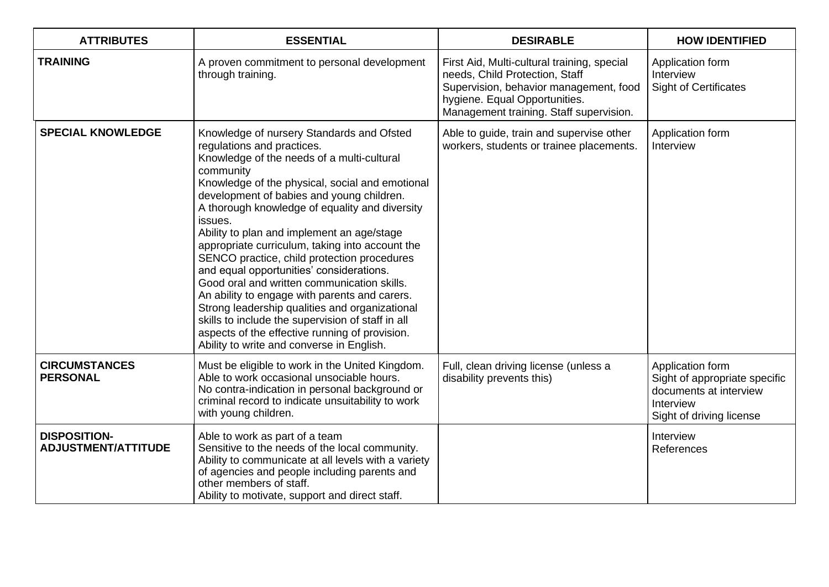| <b>ATTRIBUTES</b>                                 | <b>ESSENTIAL</b>                                                                                                                                                                                                                                                                                                                                                                                                                                                                                                                                                                                                                                                                                                                                                                                  | <b>DESIRABLE</b>                                                                                                                                                                                    | <b>HOW IDENTIFIED</b>                                                                                                |
|---------------------------------------------------|---------------------------------------------------------------------------------------------------------------------------------------------------------------------------------------------------------------------------------------------------------------------------------------------------------------------------------------------------------------------------------------------------------------------------------------------------------------------------------------------------------------------------------------------------------------------------------------------------------------------------------------------------------------------------------------------------------------------------------------------------------------------------------------------------|-----------------------------------------------------------------------------------------------------------------------------------------------------------------------------------------------------|----------------------------------------------------------------------------------------------------------------------|
| <b>TRAINING</b>                                   | A proven commitment to personal development<br>through training.                                                                                                                                                                                                                                                                                                                                                                                                                                                                                                                                                                                                                                                                                                                                  | First Aid, Multi-cultural training, special<br>needs, Child Protection, Staff<br>Supervision, behavior management, food<br>hygiene. Equal Opportunities.<br>Management training. Staff supervision. | Application form<br>Interview<br><b>Sight of Certificates</b>                                                        |
| <b>SPECIAL KNOWLEDGE</b>                          | Knowledge of nursery Standards and Ofsted<br>regulations and practices.<br>Knowledge of the needs of a multi-cultural<br>community<br>Knowledge of the physical, social and emotional<br>development of babies and young children.<br>A thorough knowledge of equality and diversity<br>issues.<br>Ability to plan and implement an age/stage<br>appropriate curriculum, taking into account the<br>SENCO practice, child protection procedures<br>and equal opportunities' considerations.<br>Good oral and written communication skills.<br>An ability to engage with parents and carers.<br>Strong leadership qualities and organizational<br>skills to include the supervision of staff in all<br>aspects of the effective running of provision.<br>Ability to write and converse in English. | Able to guide, train and supervise other<br>workers, students or trainee placements.                                                                                                                | Application form<br>Interview                                                                                        |
| <b>CIRCUMSTANCES</b><br><b>PERSONAL</b>           | Must be eligible to work in the United Kingdom.<br>Able to work occasional unsociable hours.<br>No contra-indication in personal background or<br>criminal record to indicate unsuitability to work<br>with young children.                                                                                                                                                                                                                                                                                                                                                                                                                                                                                                                                                                       | Full, clean driving license (unless a<br>disability prevents this)                                                                                                                                  | Application form<br>Sight of appropriate specific<br>documents at interview<br>Interview<br>Sight of driving license |
| <b>DISPOSITION-</b><br><b>ADJUSTMENT/ATTITUDE</b> | Able to work as part of a team<br>Sensitive to the needs of the local community.<br>Ability to communicate at all levels with a variety<br>of agencies and people including parents and<br>other members of staff.<br>Ability to motivate, support and direct staff.                                                                                                                                                                                                                                                                                                                                                                                                                                                                                                                              |                                                                                                                                                                                                     | Interview<br>References                                                                                              |